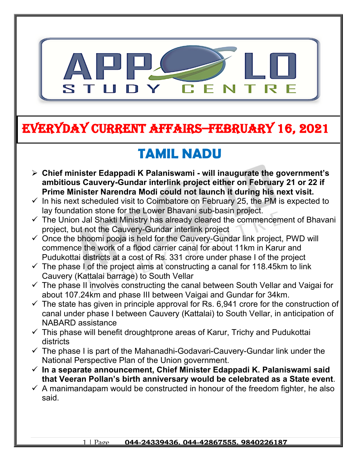

## **EVERYDAY CURRENT AFFAIRS–FEBRUARY 16, 2021**

**-**

# **TAMIL NADU**

- **Chief minister Edappadi K Palaniswami will inaugurate the government's ambitious Cauvery-Gundar interlink project either on February 21 or 22 if Prime Minister Narendra Modi could not launch it during his next visit.**
- $\checkmark$  In his next scheduled visit to Coimbatore on February 25, the PM is expected to lay foundation stone for the Lower Bhavani sub-basin project.
- $\checkmark$  The Union Jal Shakti Ministry has already cleared the commencement of Bhavani project, but not the Cauvery-Gundar interlink project
- $\checkmark$  Once the bhoomi pooja is held for the Cauvery-Gundar link project, PWD will commence the work of a flood carrier canal for about 11km in Karur and Pudukottai districts at a cost of Rs. 331 crore under phase I of the project
- $\checkmark$  The phase I of the project aims at constructing a canal for 118.45km to link Cauvery (Kattalai barrage) to South Vellar
- $\checkmark$  The phase II involves constructing the canal between South Vellar and Vaigai for about 107.24km and phase III between Vaigai and Gundar for 34km.
- $\checkmark$  The state has given in principle approval for Rs. 6,941 crore for the construction of canal under phase I between Cauvery (Kattalai) to South Vellar, in anticipation of NABARD assistance
- $\checkmark$  This phase will benefit droughtprone areas of Karur, Trichy and Pudukottai districts
- $\checkmark$  The phase I is part of the Mahanadhi-Godavari-Cauvery-Gundar link under the National Perspective Plan of the Union government.
- **In a separate announcement, Chief Minister Edappadi K. Palaniswami said that Veeran Pollan's birth anniversary would be celebrated as a State event**.
- $\checkmark$  A manimandapam would be constructed in honour of the freedom fighter, he also said.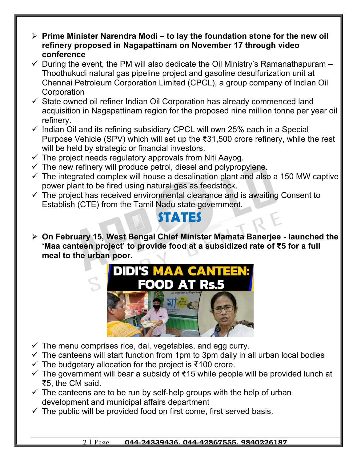- **Prime Minister Narendra Modi to lay the foundation stone for the new oil refinery proposed in Nagapattinam on November 17 through video conference**
- $\checkmark$  During the event, the PM will also dedicate the Oil Ministry's Ramanathapuram Thoothukudi natural gas pipeline project and gasoline desulfurization unit at Chennai Petroleum Corporation Limited (CPCL), a group company of Indian Oil **Corporation**
- $\checkmark$  State owned oil refiner Indian Oil Corporation has already commenced land acquisition in Nagapattinam region for the proposed nine million tonne per year oil refinery.
- $\checkmark$  Indian Oil and its refining subsidiary CPCL will own 25% each in a Special Purpose Vehicle (SPV) which will set up the ₹31,500 crore refinery, while the rest will be held by strategic or financial investors.
- $\checkmark$  The project needs regulatory approvals from Niti Aayog.
- $\checkmark$  The new refinery will produce petrol, diesel and polypropylene.
- $\checkmark$  The integrated complex will house a desalination plant and also a 150 MW captive power plant to be fired using natural gas as feedstock.
- $\checkmark$  The project has received environmental clearance and is awaiting Consent to Establish (CTE) from the Tamil Nadu state government.

#### **STATES**

 **On February 15, West Bengal Chief Minister Mamata Banerjee - launched the 'Maa canteen project' to provide food at a subsidized rate of ₹5 for a full meal to the urban poor.**



- $\checkmark$  The menu comprises rice, dal, vegetables, and egg curry.
- $\checkmark$  The canteens will start function from 1pm to 3pm daily in all urban local bodies
- $\checkmark$  The budgetary allocation for the project is ₹100 crore.
- $\checkmark$  The government will bear a subsidy of ₹15 while people will be provided lunch at ₹5, the CM said.
- $\checkmark$  The canteens are to be run by self-help groups with the help of urban development and municipal affairs department
- $\checkmark$  The public will be provided food on first come, first served basis.

#### 2 | Page **044-24339436, 044-42867555, 9840226187**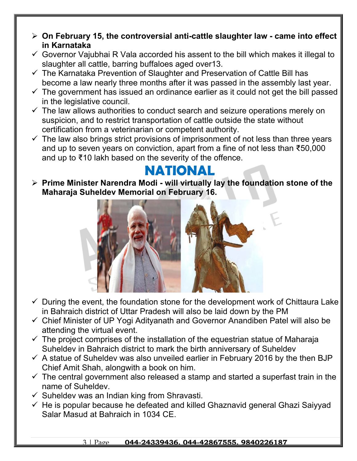- **On February 15, the controversial anti-cattle slaughter law came into effect in Karnataka**
- $\checkmark$  Governor Vajubhai R Vala accorded his assent to the bill which makes it illegal to slaughter all cattle, barring buffaloes aged over13.
- $\checkmark$  The Karnataka Prevention of Slaughter and Preservation of Cattle Bill has become a law nearly three months after it was passed in the assembly last year.
- $\checkmark$  The government has issued an ordinance earlier as it could not get the bill passed in the legislative council.
- $\checkmark$  The law allows authorities to conduct search and seizure operations merely on suspicion, and to restrict transportation of cattle outside the state without certification from a veterinarian or competent authority.
- $\checkmark$  The law also brings strict provisions of imprisonment of not less than three vears and up to seven years on conviction, apart from a fine of not less than ₹50,000 and up to ₹10 lakh based on the severity of the offence.

#### **NATIONAL**

 **Prime Minister Narendra Modi - will virtually lay the foundation stone of the Maharaja Suheldev Memorial on February 16.** 



- $\checkmark$  During the event, the foundation stone for the development work of Chittaura Lake in Bahraich district of Uttar Pradesh will also be laid down by the PM
- Chief Minister of UP Yogi Adityanath and Governor Anandiben Patel will also be attending the virtual event.
- $\checkmark$  The project comprises of the installation of the equestrian statue of Maharaja Suheldev in Bahraich district to mark the birth anniversary of Suheldev
- $\checkmark$  A statue of Suheldev was also unveiled earlier in February 2016 by the then BJP Chief Amit Shah, alongwith a book on him.
- $\checkmark$  The central government also released a stamp and started a superfast train in the name of Suheldev.
- $\checkmark$  Suheldev was an Indian king from Shravasti.
- $\checkmark$  He is popular because he defeated and killed Ghaznavid general Ghazi Saiyyad Salar Masud at Bahraich in 1034 CE.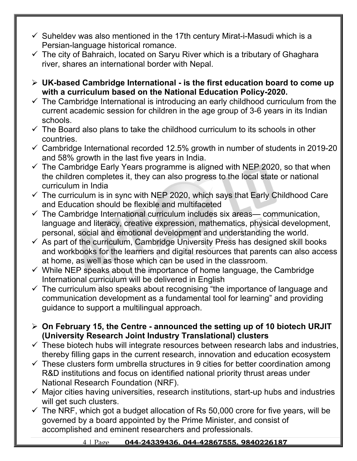- $\checkmark$  Suheldev was also mentioned in the 17th century Mirat-i-Masudi which is a Persian-language historical romance.
- $\checkmark$  The city of Bahraich, located on Saryu River which is a tributary of Ghaghara river, shares an international border with Nepal.
- **UK-based Cambridge International is the first education board to come up with a curriculum based on the National Education Policy-2020.**
- $\checkmark$  The Cambridge International is introducing an early childhood curriculum from the current academic session for children in the age group of 3-6 years in its Indian schools.
- $\checkmark$  The Board also plans to take the childhood curriculum to its schools in other countries.
- $\checkmark$  Cambridge International recorded 12.5% growth in number of students in 2019-20 and 58% growth in the last five years in India.
- $\checkmark$  The Cambridge Early Years programme is aligned with NEP 2020, so that when the children completes it, they can also progress to the local state or national curriculum in India
- $\checkmark$  The curriculum is in sync with NEP 2020, which says that Early Childhood Care and Education should be flexible and multifaceted
- $\checkmark$  The Cambridge International curriculum includes six areas— communication, language and literacy, creative expression, mathematics, physical development, personal, social and emotional development and understanding the world.
- $\checkmark$  As part of the curriculum, Cambridge University Press has designed skill books and workbooks for the learners and digital resources that parents can also access at home, as well as those which can be used in the classroom.
- $\checkmark$  While NEP speaks about the importance of home language, the Cambridge International curriculum will be delivered in English
- $\checkmark$  The curriculum also speaks about recognising "the importance of language and communication development as a fundamental tool for learning" and providing guidance to support a multilingual approach.
- **On February 15, the Centre announced the setting up of 10 biotech URJIT (University Research Joint Industry Translational) clusters**
- $\checkmark$  These biotech hubs will integrate resources between research labs and industries, thereby filling gaps in the current research, innovation and education ecosystem
- $\checkmark$  These clusters form umbrella structures in 9 cities for better coordination among R&D institutions and focus on identified national priority thrust areas under National Research Foundation (NRF).
- $\checkmark$  Major cities having universities, research institutions, start-up hubs and industries will get such clusters.
- $\checkmark$  The NRF, which got a budget allocation of Rs 50,000 crore for five years, will be governed by a board appointed by the Prime Minister, and consist of accomplished and eminent researchers and professionals.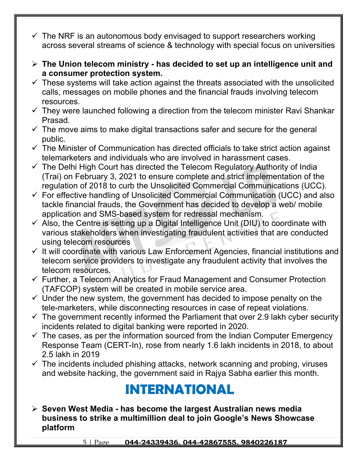- $\checkmark$  The NRF is an autonomous body envisaged to support researchers working across several streams of science & technology with special focus on universities
- **The Union telecom ministry has decided to set up an intelligence unit and a consumer protection system.**
- $\checkmark$  These systems will take action against the threats associated with the unsolicited calls, messages on mobile phones and the financial frauds involving telecom resources.
- $\checkmark$  They were launched following a direction from the telecom minister Ravi Shankar Prasad.
- $\checkmark$  The move aims to make digital transactions safer and secure for the general public.
- $\checkmark$  The Minister of Communication has directed officials to take strict action against telemarketers and individuals who are involved in harassment cases.
- $\checkmark$  The Delhi High Court has directed the Telecom Regulatory Authority of India (Trai) on February 3, 2021 to ensure complete and strict implementation of the regulation of 2018 to curb the Unsolicited Commercial Communications (UCC).
- $\checkmark$  For effective handling of Unsolicited Commercial Communication (UCC) and also tackle financial frauds, the Government has decided to develop a web/ mobile application and SMS-based system for redressal mechanism.
- $\checkmark$  Also, the Centre is setting up a Digital Intelligence Unit (DIU) to coordinate with various stakeholders when investigating fraudulent activities that are conducted using telecom resources
- $\checkmark$  It will coordinate with various Law Enforcement Agencies, financial institutions and telecom service providers to investigate any fraudulent activity that involves the telecom resources.
- $\checkmark$  Further, a Telecom Analytics for Fraud Management and Consumer Protection (TAFCOP) system will be created in mobile service area.
- $\checkmark$  Under the new system, the government has decided to impose penalty on the tele-marketers, while disconnecting resources in case of repeat violations.
- $\checkmark$  The government recently informed the Parliament that over 2.9 lakh cyber security incidents related to digital banking were reported in 2020.
- $\checkmark$  The cases, as per the information sourced from the Indian Computer Emergency Response Team (CERT-In), rose from nearly 1.6 lakh incidents in 2018, to about 2.5 lakh in 2019
- $\checkmark$  The incidents included phishing attacks, network scanning and probing, viruses and website hacking, the government said in Rajya Sabha earlier this month.

## **INTERNATIONAL**

 **Seven West Media - has become the largest Australian news media business to strike a multimillion deal to join Google's News Showcase platform**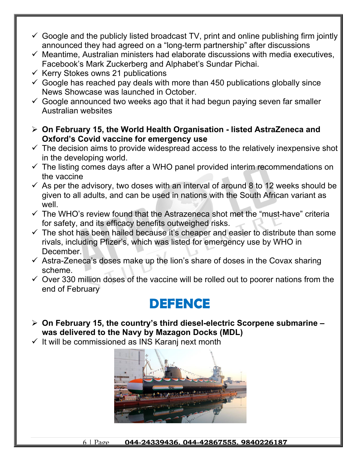- $\checkmark$  Google and the publicly listed broadcast TV, print and online publishing firm jointly announced they had agreed on a "long-term partnership" after discussions
- $\checkmark$  Meantime, Australian ministers had elaborate discussions with media executives, Facebook's Mark Zuckerberg and Alphabet's Sundar Pichai.
- $\checkmark$  Kerry Stokes owns 21 publications
- $\checkmark$  Google has reached pay deals with more than 450 publications globally since News Showcase was launched in October.
- $\checkmark$  Google announced two weeks ago that it had begun paying seven far smaller Australian websites
- **On February 15, the World Health Organisation listed AstraZeneca and Oxford's Covid vaccine for emergency use**
- $\checkmark$  The decision aims to provide widespread access to the relatively inexpensive shot in the developing world.
- $\checkmark$  The listing comes days after a WHO panel provided interim recommendations on the vaccine
- $\checkmark$  As per the advisory, two doses with an interval of around 8 to 12 weeks should be given to all adults, and can be used in nations with the South African variant as well
- $\checkmark$  The WHO's review found that the Astrazeneca shot met the "must-have" criteria for safety, and its efficacy benefits outweighed risks.
- $\checkmark$  The shot has been hailed because it's cheaper and easier to distribute than some rivals, including Pfizer's, which was listed for emergency use by WHO in December.
- $\checkmark$  Astra-Zeneca's doses make up the lion's share of doses in the Covax sharing scheme.
- $\checkmark$  Over 330 million doses of the vaccine will be rolled out to poorer nations from the end of February

### **DEFENCE**

- **On February 15, the country's third diesel-electric Scorpene submarine was delivered to the Navy by Mazagon Docks (MDL)**
- $\checkmark$  It will be commissioned as INS Karanj next month



6 | Page **044-24339436, 044-42867555, 9840226187**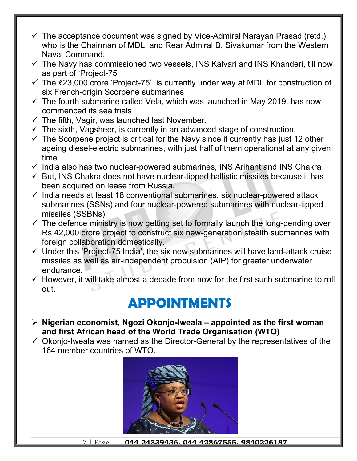- $\checkmark$  The acceptance document was signed by Vice-Admiral Narayan Prasad (retd.), who is the Chairman of MDL, and Rear Admiral B. Sivakumar from the Western Naval Command.
- $\checkmark$  The Navy has commissioned two vessels, INS Kalvari and INS Khanderi, till now as part of 'Project-75'
- The ₹23,000 crore 'Project-75' is currently under way at MDL for construction of six French-origin Scorpene submarines
- $\checkmark$  The fourth submarine called Vela, which was launched in May 2019, has now commenced its sea trials
- $\checkmark$  The fifth, Vagir, was launched last November.
- $\checkmark$  The sixth, Vagsheer, is currently in an advanced stage of construction.
- $\checkmark$  The Scorpene project is critical for the Navy since it currently has just 12 other ageing diesel-electric submarines, with just half of them operational at any given time.
- $\checkmark$  India also has two nuclear-powered submarines, INS Arihant and INS Chakra
- $\checkmark$  But, INS Chakra does not have nuclear-tipped ballistic missiles because it has been acquired on lease from Russia.
- $\checkmark$  India needs at least 18 conventional submarines, six nuclear-powered attack submarines (SSNs) and four nuclear-powered submarines with nuclear-tipped missiles (SSBNs).
- $\checkmark$  The defence ministry is now getting set to formally launch the long-pending over Rs 42,000 crore project to construct six new-generation stealth submarines with foreign collaboration domestically.
- $\checkmark$  Under this 'Project-75 India', the six new submarines will have land-attack cruise missiles as well as air-independent propulsion (AIP) for greater underwater endurance.
- $\checkmark$  However, it will take almost a decade from now for the first such submarine to roll out.

## **APPOINTMENTS**

- **Nigerian economist, Ngozi Okonjo-Iweala appointed as the first woman and first African head of the World Trade Organisation (WTO)**
- $\checkmark$  Okonjo-Iweala was named as the Director-General by the representatives of the 164 member countries of WTO.



7 | Page **044-24339436, 044-42867555, 9840226187**